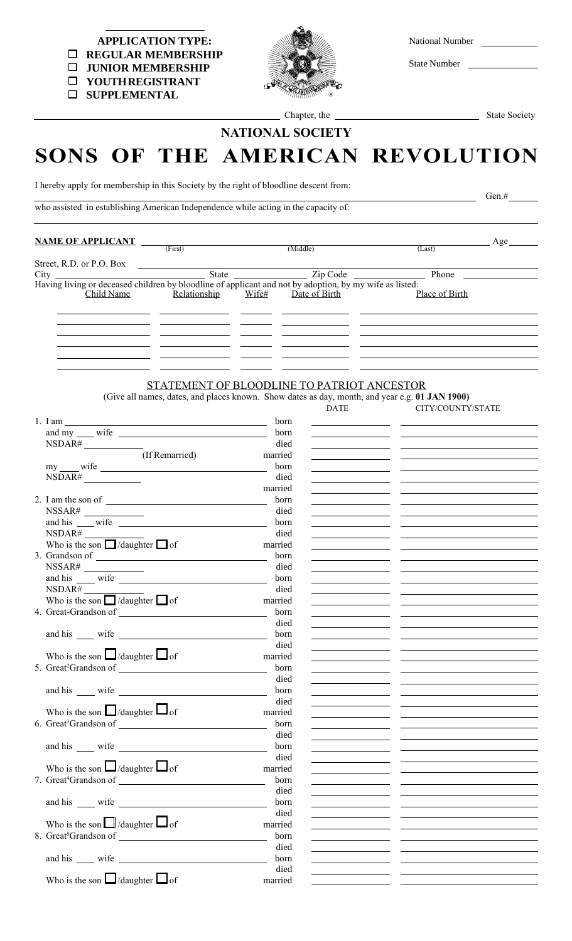| National Number |
|-----------------|
|                 |

State Number

 **APPLICATION TYPE: REGULAR MEMBERSHIP JUNIOR MEMBERSHIP YOUTH REGISTRANT**

**SUPPLEMENTAL**



Chapter, the State Society

## NATIONAL SOCIETY

## SONS OF THE AMERICAN REVOLUTION

 $Gen.$  Gen.#

I hereby apply for membership in this Society by the right of bloodline descent from:

who assisted in establishing American Independence while acting in the capacity of:

**NAME OF APPLICANT**  $\frac{F(\text{first})}{F(\text{first})}$  (Middle) (Last) (Last) Street, R.D. or P.O. Box City State Zip Code Phone Having living or deceased children by bloodline of applicant and not by adoption, by my wife as listed: Child Name Relationship Wife# Date of Birth Place of Birth (First) (Middle) (Last)

## STATEMENT OF BLOODLINE TO PATRIOT ANCESTOR

(Give all names, dates, and places known. Show dates as day, month, and year e.g. 01 JAN 1900)

CITY/COUNTY/STATE

|  | 1. I am                                                                              | born    |                                                                                                                       |  |
|--|--------------------------------------------------------------------------------------|---------|-----------------------------------------------------------------------------------------------------------------------|--|
|  |                                                                                      | born    |                                                                                                                       |  |
|  | NSDAR#                                                                               | died    |                                                                                                                       |  |
|  | $\overline{(\text{If Remained})}$                                                    | married | <u> 1989 - Johann Barn, mars an t-Amerikaansk kommunister (</u>                                                       |  |
|  |                                                                                      | born    |                                                                                                                       |  |
|  | NSDAR#                                                                               | died    |                                                                                                                       |  |
|  |                                                                                      | married |                                                                                                                       |  |
|  | 2. I am the son of $\overline{\qquad \qquad }$                                       | born    |                                                                                                                       |  |
|  | $\label{eq:3.1} \text{NSSAR}\,\,\underline{\hskip 1cm} \quad \underline{\hskip 1cm}$ | died    |                                                                                                                       |  |
|  | and his wife                                                                         | born    |                                                                                                                       |  |
|  | NSDAR#                                                                               | died    |                                                                                                                       |  |
|  | Who is the son $\Box$ /daughter $\Box$ of                                            | married | the company of the company of the company                                                                             |  |
|  |                                                                                      | born    | the control of the control of the control of                                                                          |  |
|  |                                                                                      | died    |                                                                                                                       |  |
|  | and his wife                                                                         | born    |                                                                                                                       |  |
|  | NSDAR#                                                                               | died    |                                                                                                                       |  |
|  | Who is the son $\Box$ /daughter $\Box$ of                                            | married |                                                                                                                       |  |
|  |                                                                                      | born    |                                                                                                                       |  |
|  |                                                                                      | died    |                                                                                                                       |  |
|  |                                                                                      | born    |                                                                                                                       |  |
|  |                                                                                      | died    | <u> 1989 - John Harry Harry Harry Harry Harry Harry Harry Harry Harry Harry Harry Harry Harry Harry Harry Harry H</u> |  |
|  | Who is the son $\Box$ /daughter $\Box$ of                                            | married |                                                                                                                       |  |
|  |                                                                                      | born    |                                                                                                                       |  |
|  |                                                                                      | died    |                                                                                                                       |  |
|  |                                                                                      | born    |                                                                                                                       |  |
|  |                                                                                      | died    |                                                                                                                       |  |
|  | Who is the son $\Box$ /daughter $\Box$ of                                            | married |                                                                                                                       |  |
|  |                                                                                      | born    |                                                                                                                       |  |
|  |                                                                                      | died    | <u> 1989 - Johann Barbara, martin a</u>                                                                               |  |
|  |                                                                                      | born    |                                                                                                                       |  |
|  |                                                                                      | died    |                                                                                                                       |  |
|  | Who is the son $\Box$ /daughter $\Box$ of                                            | married |                                                                                                                       |  |
|  |                                                                                      | born    |                                                                                                                       |  |
|  |                                                                                      | died    |                                                                                                                       |  |
|  |                                                                                      | born    |                                                                                                                       |  |
|  |                                                                                      | died    | <u> 1990 - Jan Barbara Barbara, ma</u>                                                                                |  |
|  | Who is the son $\Box$ /daughter $\Box$ of                                            | married |                                                                                                                       |  |
|  |                                                                                      | born    | <u> 1989 - Johann Barn, mars ann an t-Amhain Aonaich an t-Aonaich an t-Aonaich ann an t-Aonaich ann an t-Aonaich</u>  |  |
|  |                                                                                      | died    |                                                                                                                       |  |
|  |                                                                                      | born    |                                                                                                                       |  |
|  |                                                                                      | died    |                                                                                                                       |  |
|  | Who is the son $\Box$ /daughter $\Box$ of                                            | married |                                                                                                                       |  |
|  |                                                                                      |         |                                                                                                                       |  |